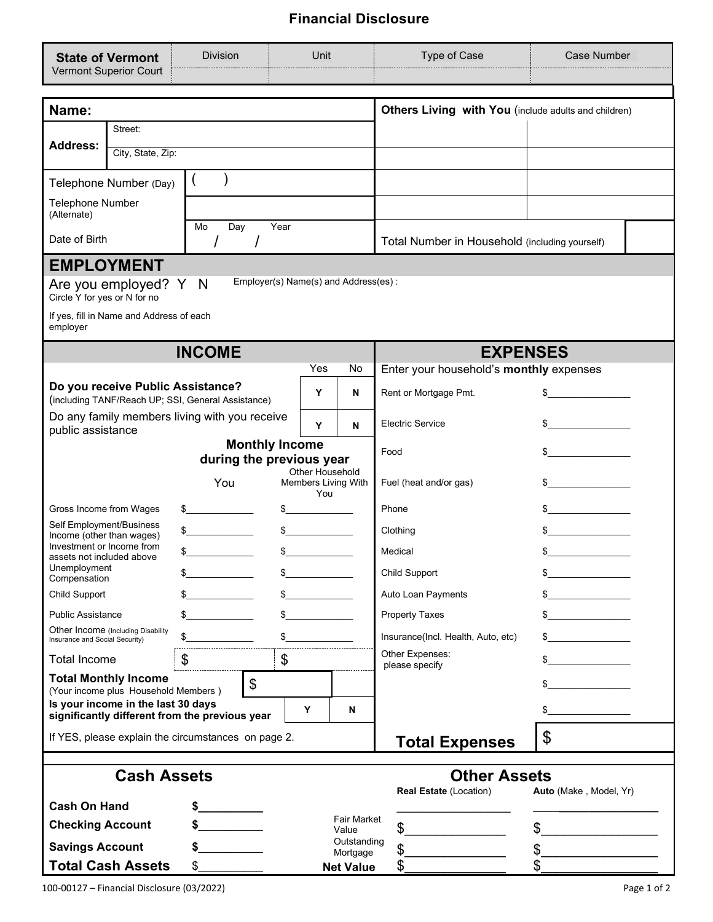## **Financial Disclosure**

| <b>State of Vermont</b>                                                                                  | <b>Division</b>   | <b>Unit</b>                                          |                                                                                                                                                                                                                                                                                                                                                     | Type of Case                            | <b>Case Number</b>                             |  |  |  |  |  |
|----------------------------------------------------------------------------------------------------------|-------------------|------------------------------------------------------|-----------------------------------------------------------------------------------------------------------------------------------------------------------------------------------------------------------------------------------------------------------------------------------------------------------------------------------------------------|-----------------------------------------|------------------------------------------------|--|--|--|--|--|
| Vermont Superior Court                                                                                   |                   |                                                      | $\blacktriangledown$                                                                                                                                                                                                                                                                                                                                |                                         |                                                |  |  |  |  |  |
|                                                                                                          |                   |                                                      |                                                                                                                                                                                                                                                                                                                                                     |                                         |                                                |  |  |  |  |  |
| Name:                                                                                                    |                   | Others Living with You (include adults and children) |                                                                                                                                                                                                                                                                                                                                                     |                                         |                                                |  |  |  |  |  |
| Street:<br><b>Address:</b>                                                                               |                   |                                                      |                                                                                                                                                                                                                                                                                                                                                     |                                         |                                                |  |  |  |  |  |
| City, State, Zip:                                                                                        |                   |                                                      |                                                                                                                                                                                                                                                                                                                                                     |                                         |                                                |  |  |  |  |  |
| Telephone Number (Day)                                                                                   |                   |                                                      |                                                                                                                                                                                                                                                                                                                                                     |                                         |                                                |  |  |  |  |  |
| Telephone Number<br>(Alternate)                                                                          |                   |                                                      |                                                                                                                                                                                                                                                                                                                                                     |                                         |                                                |  |  |  |  |  |
| Date of Birth                                                                                            | Mo<br>Day<br>Year |                                                      |                                                                                                                                                                                                                                                                                                                                                     |                                         | Total Number in Household (including yourself) |  |  |  |  |  |
| <b>EMPLOYMENT</b>                                                                                        |                   |                                                      |                                                                                                                                                                                                                                                                                                                                                     |                                         |                                                |  |  |  |  |  |
| Employer(s) Name(s) and Address(es):<br>Are you employed? Y<br>N<br>Circle Y for yes or N for no         |                   |                                                      |                                                                                                                                                                                                                                                                                                                                                     |                                         |                                                |  |  |  |  |  |
| If yes, fill in Name and Address of each<br>employer                                                     |                   |                                                      |                                                                                                                                                                                                                                                                                                                                                     |                                         |                                                |  |  |  |  |  |
|                                                                                                          | <b>INCOME</b>     |                                                      |                                                                                                                                                                                                                                                                                                                                                     | <b>EXPENSES</b>                         |                                                |  |  |  |  |  |
|                                                                                                          |                   | Yes                                                  | No                                                                                                                                                                                                                                                                                                                                                  | Enter your household's monthly expenses |                                                |  |  |  |  |  |
| Do you receive Public Assistance?<br>(including TANF/Reach UP; SSI, General Assistance)                  |                   | Y                                                    | N                                                                                                                                                                                                                                                                                                                                                   | Rent or Mortgage Pmt.                   | \$                                             |  |  |  |  |  |
| Do any family members living with you receive<br>public assistance                                       |                   |                                                      | N                                                                                                                                                                                                                                                                                                                                                   | <b>Electric Service</b>                 |                                                |  |  |  |  |  |
| <b>Monthly Income</b>                                                                                    |                   |                                                      |                                                                                                                                                                                                                                                                                                                                                     | Food                                    | \$                                             |  |  |  |  |  |
| during the previous year<br><b>Other Household</b>                                                       |                   |                                                      |                                                                                                                                                                                                                                                                                                                                                     |                                         |                                                |  |  |  |  |  |
|                                                                                                          | You               | Members Living With<br>You                           |                                                                                                                                                                                                                                                                                                                                                     | Fuel (heat and/or gas)                  | $\frac{1}{2}$                                  |  |  |  |  |  |
| Gross Income from Wages                                                                                  | \$                | $\frac{1}{2}$                                        |                                                                                                                                                                                                                                                                                                                                                     | Phone                                   | $\frac{1}{2}$                                  |  |  |  |  |  |
| Self Employment/Business<br>Income (other than wages)                                                    | $\sim$            |                                                      |                                                                                                                                                                                                                                                                                                                                                     | Clothing                                | $\sim$                                         |  |  |  |  |  |
| Investment or Income from<br>assets not included above                                                   | \$                | $\sim$                                               |                                                                                                                                                                                                                                                                                                                                                     | Medical                                 |                                                |  |  |  |  |  |
| Unemployment                                                                                             | \$                | \$                                                   |                                                                                                                                                                                                                                                                                                                                                     | Child Support                           | \$                                             |  |  |  |  |  |
| Compensation<br>Child Support                                                                            | \$                |                                                      |                                                                                                                                                                                                                                                                                                                                                     | Auto Loan Payments                      |                                                |  |  |  |  |  |
| <b>Public Assistance</b>                                                                                 |                   | \$                                                   |                                                                                                                                                                                                                                                                                                                                                     | <b>Property Taxes</b>                   |                                                |  |  |  |  |  |
| Other Income (Including Disability                                                                       |                   |                                                      |                                                                                                                                                                                                                                                                                                                                                     | Insurance(Incl. Health, Auto, etc)      |                                                |  |  |  |  |  |
| Insurance and Social Security)                                                                           |                   | \$                                                   |                                                                                                                                                                                                                                                                                                                                                     | Other Expenses:                         |                                                |  |  |  |  |  |
| <b>Total Income</b><br><b>Total Monthly Income</b>                                                       | \$                | \$                                                   |                                                                                                                                                                                                                                                                                                                                                     | please specify                          | \$                                             |  |  |  |  |  |
| (Your income plus Household Members)                                                                     | \$                |                                                      |                                                                                                                                                                                                                                                                                                                                                     |                                         | \$                                             |  |  |  |  |  |
| Is your income in the last 30 days<br>significantly different from the previous year                     |                   |                                                      | \$                                                                                                                                                                                                                                                                                                                                                  |                                         |                                                |  |  |  |  |  |
| If YES, please explain the circumstances on page 2.                                                      |                   |                                                      |                                                                                                                                                                                                                                                                                                                                                     | <b>Total Expenses</b>                   | $\mathfrak{L}$                                 |  |  |  |  |  |
|                                                                                                          |                   |                                                      |                                                                                                                                                                                                                                                                                                                                                     | <b>Other Assets</b>                     |                                                |  |  |  |  |  |
| <b>Cash Assets</b><br><b>Real Estate (Location)</b><br>Auto (Make, Model, Yr)                            |                   |                                                      |                                                                                                                                                                                                                                                                                                                                                     |                                         |                                                |  |  |  |  |  |
| <b>Cash On Hand</b><br><b>Fair Market</b><br>$\sim$<br><b>Checking Account</b><br>$\frac{1}{2}$<br>Value |                   |                                                      |                                                                                                                                                                                                                                                                                                                                                     |                                         |                                                |  |  |  |  |  |
| <b>Savings Account</b>                                                                                   | $\sim$            | Outstanding<br>\$                                    | $\begin{picture}(20,10) \put(0,0){\line(1,0){10}} \put(15,0){\line(1,0){10}} \put(15,0){\line(1,0){10}} \put(15,0){\line(1,0){10}} \put(15,0){\line(1,0){10}} \put(15,0){\line(1,0){10}} \put(15,0){\line(1,0){10}} \put(15,0){\line(1,0){10}} \put(15,0){\line(1,0){10}} \put(15,0){\line(1,0){10}} \put(15,0){\line(1,0){10}} \put(15,0){\line(1$ |                                         |                                                |  |  |  |  |  |
| <b>Total Cash Assets</b>                                                                                 | \$                | Mortgage<br>\$<br><b>Net Value</b>                   | $\frac{1}{2}$<br>\$                                                                                                                                                                                                                                                                                                                                 |                                         |                                                |  |  |  |  |  |